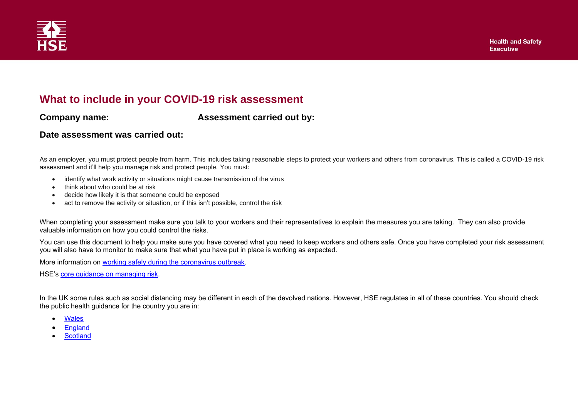

## **What to include in your COVID-19 risk assessment**

**Company name: Assessment carried out by:** 

## **Date assessment was carried out:**

As an employer, you must protect people from harm. This includes taking reasonable steps to protect your workers and others from coronavirus. This is called a COVID-19 risk assessment and it'll help you manage risk and protect people. You must:

- identify what work activity or situations might cause transmission of the virus
- think about who could be at risk
- decide how likely it is that someone could be exposed
- act to remove the activity or situation, or if this isn't possible, control the risk

When completing your assessment make sure you talk to your workers and their representatives to explain the measures you are taking. They can also provide valuable information on how you could control the risks.

You can use this document to help you make sure you have covered what you need to keep workers and others safe. Once you have completed your risk assessment you will also have to monitor to make sure that what you have put in place is working as expected.

More information on [working safely during the coronavirus outbreak.](https://www.hse.gov.uk/coronavirus/index.htm)

HSE's [core guidance on managing risk.](http://www.hse.gov.uk/simple-health-safety/risk/)

In the UK some rules such as social distancing may be different in each of the devolved nations. However, HSE regulates in all of these countries. You should check the public health guidance for the country you are in:

- **[Wales](https://gov.wales/coronavirus-social-distancing-guidance)**
- [England](https://www.gov.uk/government/publications/staying-alert-and-safe-social-distancing/staying-alert-and-safe-social-distancing)
- **[Scotland](https://www.gov.scot/coronavirus-covid-19/)**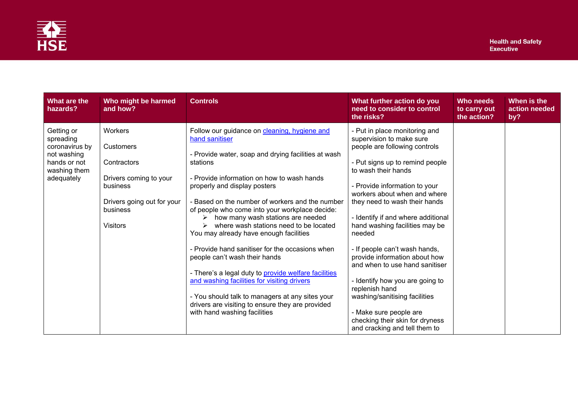

| What are the<br>hazards?                                                                               | Who might be harmed<br>and how?                                                                                                        | <b>Controls</b>                                                                                                                                                                                                                                                                                                                                                                                                                                                                                                                                                                                                                                                                                                                                                                 | What further action do you<br>need to consider to control<br>the risks?                                                                                                                                                                                                                                                                                                                                                                                                                                                                                                                                                          | Who needs<br>to carry out<br>the action? | When is the<br>action needed<br>by? |
|--------------------------------------------------------------------------------------------------------|----------------------------------------------------------------------------------------------------------------------------------------|---------------------------------------------------------------------------------------------------------------------------------------------------------------------------------------------------------------------------------------------------------------------------------------------------------------------------------------------------------------------------------------------------------------------------------------------------------------------------------------------------------------------------------------------------------------------------------------------------------------------------------------------------------------------------------------------------------------------------------------------------------------------------------|----------------------------------------------------------------------------------------------------------------------------------------------------------------------------------------------------------------------------------------------------------------------------------------------------------------------------------------------------------------------------------------------------------------------------------------------------------------------------------------------------------------------------------------------------------------------------------------------------------------------------------|------------------------------------------|-------------------------------------|
| Getting or<br>spreading<br>coronavirus by<br>not washing<br>hands or not<br>washing them<br>adequately | Workers<br>Customers<br>Contractors<br>Drivers coming to your<br>business<br>Drivers going out for your<br>business<br><b>Visitors</b> | Follow our guidance on cleaning, hygiene and<br>hand sanitiser<br>- Provide water, soap and drying facilities at wash<br>stations<br>- Provide information on how to wash hands<br>properly and display posters<br>- Based on the number of workers and the number<br>of people who come into your workplace decide:<br>how many wash stations are needed<br>where wash stations need to be located<br>You may already have enough facilities<br>- Provide hand sanitiser for the occasions when<br>people can't wash their hands<br>- There's a legal duty to provide welfare facilities<br>and washing facilities for visiting drivers<br>- You should talk to managers at any sites your<br>drivers are visiting to ensure they are provided<br>with hand washing facilities | - Put in place monitoring and<br>supervision to make sure<br>people are following controls<br>- Put signs up to remind people<br>to wash their hands<br>- Provide information to your<br>workers about when and where<br>they need to wash their hands<br>- Identify if and where additional<br>hand washing facilities may be<br>needed<br>- If people can't wash hands,<br>provide information about how<br>and when to use hand sanitiser<br>- Identify how you are going to<br>replenish hand<br>washing/sanitising facilities<br>- Make sure people are<br>checking their skin for dryness<br>and cracking and tell them to |                                          |                                     |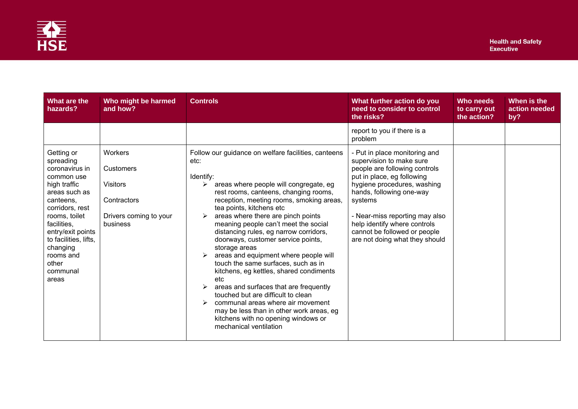

| What are the<br>hazards?                                                                                                                                                                                                                                      | Who might be harmed<br>and how?                                                                     | <b>Controls</b>                                                                                                                                                                                                                                                                                                                                                                                                                                                                                                                                                                                                                                                                                                                                                                             | What further action do you<br>need to consider to control<br>the risks?                                                                                                                                                                                                                                                            | Who needs<br>to carry out<br>the action? | When is the<br>action needed<br>by? |
|---------------------------------------------------------------------------------------------------------------------------------------------------------------------------------------------------------------------------------------------------------------|-----------------------------------------------------------------------------------------------------|---------------------------------------------------------------------------------------------------------------------------------------------------------------------------------------------------------------------------------------------------------------------------------------------------------------------------------------------------------------------------------------------------------------------------------------------------------------------------------------------------------------------------------------------------------------------------------------------------------------------------------------------------------------------------------------------------------------------------------------------------------------------------------------------|------------------------------------------------------------------------------------------------------------------------------------------------------------------------------------------------------------------------------------------------------------------------------------------------------------------------------------|------------------------------------------|-------------------------------------|
|                                                                                                                                                                                                                                                               |                                                                                                     |                                                                                                                                                                                                                                                                                                                                                                                                                                                                                                                                                                                                                                                                                                                                                                                             | report to you if there is a<br>problem                                                                                                                                                                                                                                                                                             |                                          |                                     |
| Getting or<br>spreading<br>coronavirus in<br>common use<br>high traffic<br>areas such as<br>canteens,<br>corridors, rest<br>rooms, toilet<br>facilities,<br>entry/exit points<br>to facilities, lifts,<br>changing<br>rooms and<br>other<br>communal<br>areas | Workers<br><b>Customers</b><br><b>Visitors</b><br>Contractors<br>Drivers coming to your<br>business | Follow our guidance on welfare facilities, canteens<br>etc:<br>Identify:<br>areas where people will congregate, eg<br>➤<br>rest rooms, canteens, changing rooms,<br>reception, meeting rooms, smoking areas,<br>tea points, kitchens etc<br>areas where there are pinch points<br>meaning people can't meet the social<br>distancing rules, eg narrow corridors,<br>doorways, customer service points,<br>storage areas<br>areas and equipment where people will<br>touch the same surfaces, such as in<br>kitchens, eg kettles, shared condiments<br>etc<br>areas and surfaces that are frequently<br>touched but are difficult to clean<br>communal areas where air movement<br>may be less than in other work areas, eg<br>kitchens with no opening windows or<br>mechanical ventilation | - Put in place monitoring and<br>supervision to make sure<br>people are following controls<br>put in place, eg following<br>hygiene procedures, washing<br>hands, following one-way<br>systems<br>- Near-miss reporting may also<br>help identify where controls<br>cannot be followed or people<br>are not doing what they should |                                          |                                     |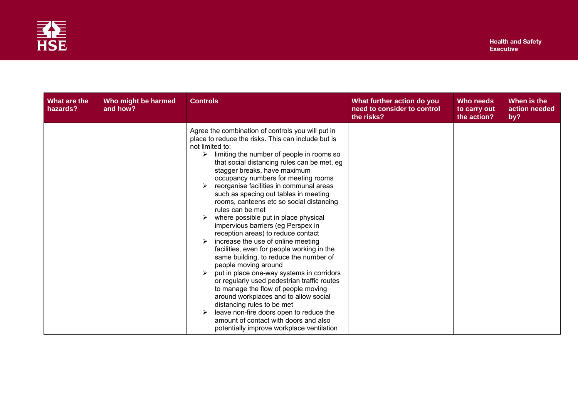

| What are the<br>hazards? | Who might be harmed<br>and how? | <b>Controls</b>                                                                                                                                                                                                                                                                                                                                                                                                                                                                                                                                                                                                                                                                                                                                                                                                                                                                                                                                                                                                                                                             | What further action do you<br>need to consider to control<br>the risks? | Who needs<br>to carry out<br>the action? | When is the<br>action needed<br>by? |
|--------------------------|---------------------------------|-----------------------------------------------------------------------------------------------------------------------------------------------------------------------------------------------------------------------------------------------------------------------------------------------------------------------------------------------------------------------------------------------------------------------------------------------------------------------------------------------------------------------------------------------------------------------------------------------------------------------------------------------------------------------------------------------------------------------------------------------------------------------------------------------------------------------------------------------------------------------------------------------------------------------------------------------------------------------------------------------------------------------------------------------------------------------------|-------------------------------------------------------------------------|------------------------------------------|-------------------------------------|
|                          |                                 | Agree the combination of controls you will put in<br>place to reduce the risks. This can include but is<br>not limited to:<br>limiting the number of people in rooms so<br>➤<br>that social distancing rules can be met, eg<br>stagger breaks, have maximum<br>occupancy numbers for meeting rooms<br>reorganise facilities in communal areas<br>such as spacing out tables in meeting<br>rooms, canteens etc so social distancing<br>rules can be met<br>where possible put in place physical<br>impervious barriers (eg Perspex in<br>reception areas) to reduce contact<br>increase the use of online meeting<br>facilities, even for people working in the<br>same building, to reduce the number of<br>people moving around<br>put in place one-way systems in corridors<br>or regularly used pedestrian traffic routes<br>to manage the flow of people moving<br>around workplaces and to allow social<br>distancing rules to be met<br>leave non-fire doors open to reduce the<br>amount of contact with doors and also<br>potentially improve workplace ventilation |                                                                         |                                          |                                     |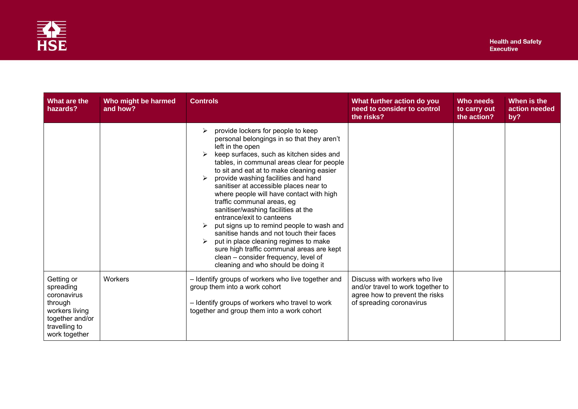

| What are the<br>hazards?                                                                                                 | Who might be harmed<br>and how? | <b>Controls</b>                                                                                                                                                                                                                                                                                                                                                                                                                                                                                                                                                                                                                                                                                                                          | What further action do you<br>need to consider to control<br>the risks?                                                          | Who needs<br>to carry out<br>the action? | When is the<br>action needed<br>by? |
|--------------------------------------------------------------------------------------------------------------------------|---------------------------------|------------------------------------------------------------------------------------------------------------------------------------------------------------------------------------------------------------------------------------------------------------------------------------------------------------------------------------------------------------------------------------------------------------------------------------------------------------------------------------------------------------------------------------------------------------------------------------------------------------------------------------------------------------------------------------------------------------------------------------------|----------------------------------------------------------------------------------------------------------------------------------|------------------------------------------|-------------------------------------|
|                                                                                                                          |                                 | provide lockers for people to keep<br>personal belongings in so that they aren't<br>left in the open<br>keep surfaces, such as kitchen sides and<br>tables, in communal areas clear for people<br>to sit and eat at to make cleaning easier<br>provide washing facilities and hand<br>sanitiser at accessible places near to<br>where people will have contact with high<br>traffic communal areas, eg<br>sanitiser/washing facilities at the<br>entrance/exit to canteens<br>put signs up to remind people to wash and<br>sanitise hands and not touch their faces<br>put in place cleaning regimes to make<br>sure high traffic communal areas are kept<br>clean - consider frequency, level of<br>cleaning and who should be doing it |                                                                                                                                  |                                          |                                     |
| Getting or<br>spreading<br>coronavirus<br>through<br>workers living<br>together and/or<br>travelling to<br>work together | Workers                         | - Identify groups of workers who live together and<br>group them into a work cohort<br>- Identify groups of workers who travel to work<br>together and group them into a work cohort                                                                                                                                                                                                                                                                                                                                                                                                                                                                                                                                                     | Discuss with workers who live<br>and/or travel to work together to<br>agree how to prevent the risks<br>of spreading coronavirus |                                          |                                     |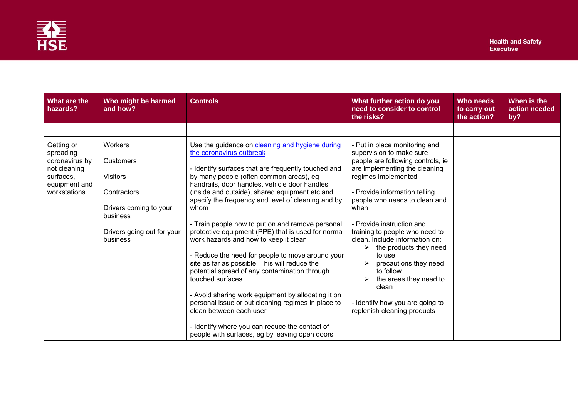

| What are the<br>hazards?                                                                                | Who might be harmed<br>and how?                                                                                                               | <b>Controls</b>                                                                                                                                                                                                                                                                                                                                                                                                                                                                                                                                                                                                                                                                                                                                                                                                                                                                                                        | What further action do you<br>need to consider to control<br>the risks?                                                                                                                                                                                                                                                                                                                                                                                                                                          | Who needs<br>to carry out<br>the action? | When is the<br>action needed<br>by? |
|---------------------------------------------------------------------------------------------------------|-----------------------------------------------------------------------------------------------------------------------------------------------|------------------------------------------------------------------------------------------------------------------------------------------------------------------------------------------------------------------------------------------------------------------------------------------------------------------------------------------------------------------------------------------------------------------------------------------------------------------------------------------------------------------------------------------------------------------------------------------------------------------------------------------------------------------------------------------------------------------------------------------------------------------------------------------------------------------------------------------------------------------------------------------------------------------------|------------------------------------------------------------------------------------------------------------------------------------------------------------------------------------------------------------------------------------------------------------------------------------------------------------------------------------------------------------------------------------------------------------------------------------------------------------------------------------------------------------------|------------------------------------------|-------------------------------------|
|                                                                                                         |                                                                                                                                               |                                                                                                                                                                                                                                                                                                                                                                                                                                                                                                                                                                                                                                                                                                                                                                                                                                                                                                                        |                                                                                                                                                                                                                                                                                                                                                                                                                                                                                                                  |                                          |                                     |
| Getting or<br>spreading<br>coronavirus by<br>not cleaning<br>surfaces,<br>equipment and<br>workstations | Workers<br><b>Customers</b><br><b>Visitors</b><br>Contractors<br>Drivers coming to your<br>business<br>Drivers going out for your<br>business | Use the guidance on cleaning and hygiene during<br>the coronavirus outbreak<br>- Identify surfaces that are frequently touched and<br>by many people (often common areas), eg<br>handrails, door handles, vehicle door handles<br>(inside and outside), shared equipment etc and<br>specify the frequency and level of cleaning and by<br>whom<br>- Train people how to put on and remove personal<br>protective equipment (PPE) that is used for normal<br>work hazards and how to keep it clean<br>- Reduce the need for people to move around your<br>site as far as possible. This will reduce the<br>potential spread of any contamination through<br>touched surfaces<br>- Avoid sharing work equipment by allocating it on<br>personal issue or put cleaning regimes in place to<br>clean between each user<br>- Identify where you can reduce the contact of<br>people with surfaces, eg by leaving open doors | - Put in place monitoring and<br>supervision to make sure<br>people are following controls, ie<br>are implementing the cleaning<br>regimes implemented<br>- Provide information telling<br>people who needs to clean and<br>when<br>- Provide instruction and<br>training to people who need to<br>clean. Include information on:<br>the products they need<br>to use<br>precautions they need<br>to follow<br>the areas they need to<br>clean<br>- Identify how you are going to<br>replenish cleaning products |                                          |                                     |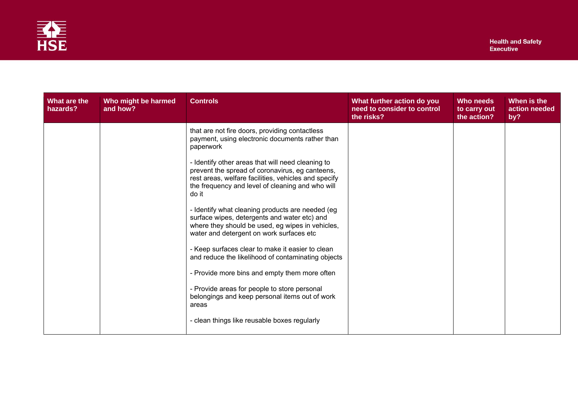

| What are the<br>hazards? | Who might be harmed<br>and how? | <b>Controls</b>                                                                                                                                                                                                        | What further action do you<br>need to consider to control<br>the risks? | Who needs<br>to carry out<br>the action? | When is the<br>action needed<br>by? |
|--------------------------|---------------------------------|------------------------------------------------------------------------------------------------------------------------------------------------------------------------------------------------------------------------|-------------------------------------------------------------------------|------------------------------------------|-------------------------------------|
|                          |                                 | that are not fire doors, providing contactless<br>payment, using electronic documents rather than<br>paperwork<br>- Identify other areas that will need cleaning to<br>prevent the spread of coronavirus, eg canteens, |                                                                         |                                          |                                     |
|                          |                                 | rest areas, welfare facilities, vehicles and specify<br>the frequency and level of cleaning and who will<br>do it                                                                                                      |                                                                         |                                          |                                     |
|                          |                                 | - Identify what cleaning products are needed (eg<br>surface wipes, detergents and water etc) and<br>where they should be used, eg wipes in vehicles,<br>water and detergent on work surfaces etc                       |                                                                         |                                          |                                     |
|                          |                                 | - Keep surfaces clear to make it easier to clean<br>and reduce the likelihood of contaminating objects                                                                                                                 |                                                                         |                                          |                                     |
|                          |                                 | - Provide more bins and empty them more often                                                                                                                                                                          |                                                                         |                                          |                                     |
|                          |                                 | - Provide areas for people to store personal<br>belongings and keep personal items out of work<br>areas                                                                                                                |                                                                         |                                          |                                     |
|                          |                                 | - clean things like reusable boxes regularly                                                                                                                                                                           |                                                                         |                                          |                                     |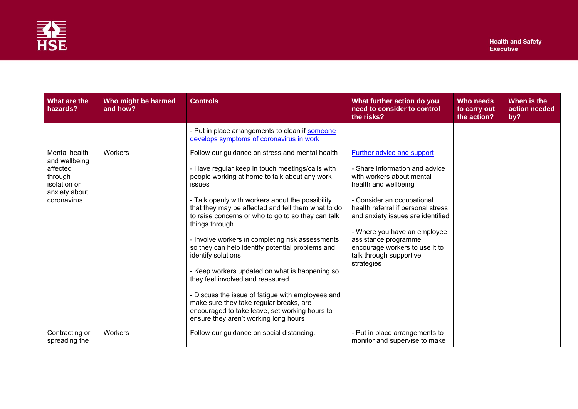

| What are the<br>hazards?                                                                              | Who might be harmed<br>and how? | <b>Controls</b>                                                                                                                                                                                                                                                                                                                                                                                                                                                                                                                                                                                                                                                                                                                                                        | What further action do you<br>need to consider to control<br>the risks?                                                                                                                                                                                                                                                                                       | <b>Who needs</b><br>to carry out<br>the action? | When is the<br>action needed<br>by? |
|-------------------------------------------------------------------------------------------------------|---------------------------------|------------------------------------------------------------------------------------------------------------------------------------------------------------------------------------------------------------------------------------------------------------------------------------------------------------------------------------------------------------------------------------------------------------------------------------------------------------------------------------------------------------------------------------------------------------------------------------------------------------------------------------------------------------------------------------------------------------------------------------------------------------------------|---------------------------------------------------------------------------------------------------------------------------------------------------------------------------------------------------------------------------------------------------------------------------------------------------------------------------------------------------------------|-------------------------------------------------|-------------------------------------|
|                                                                                                       |                                 | - Put in place arrangements to clean if someone<br>develops symptoms of coronavirus in work                                                                                                                                                                                                                                                                                                                                                                                                                                                                                                                                                                                                                                                                            |                                                                                                                                                                                                                                                                                                                                                               |                                                 |                                     |
| Mental health<br>and wellbeing<br>affected<br>through<br>isolation or<br>anxiety about<br>coronavirus | Workers                         | Follow our guidance on stress and mental health<br>- Have regular keep in touch meetings/calls with<br>people working at home to talk about any work<br><i>issues</i><br>- Talk openly with workers about the possibility<br>that they may be affected and tell them what to do<br>to raise concerns or who to go to so they can talk<br>things through<br>- Involve workers in completing risk assessments<br>so they can help identify potential problems and<br>identify solutions<br>- Keep workers updated on what is happening so<br>they feel involved and reassured<br>- Discuss the issue of fatigue with employees and<br>make sure they take regular breaks, are<br>encouraged to take leave, set working hours to<br>ensure they aren't working long hours | Further advice and support<br>- Share information and advice<br>with workers about mental<br>health and wellbeing<br>- Consider an occupational<br>health referral if personal stress<br>and anxiety issues are identified<br>- Where you have an employee<br>assistance programme<br>encourage workers to use it to<br>talk through supportive<br>strategies |                                                 |                                     |
| Contracting or<br>spreading the                                                                       | Workers                         | Follow our guidance on social distancing.                                                                                                                                                                                                                                                                                                                                                                                                                                                                                                                                                                                                                                                                                                                              | - Put in place arrangements to<br>monitor and supervise to make                                                                                                                                                                                                                                                                                               |                                                 |                                     |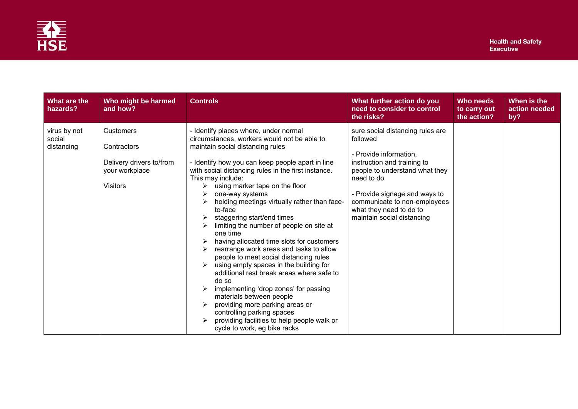

| What are the<br>hazards?             | Who might be harmed<br>and how?                                                           | <b>Controls</b>                                                                                                                                                                                                                                                                                                                                                                                                                                                                                                                                                                                                                                                                                                                                                                                                                                                                                                            | What further action do you<br>need to consider to control<br>the risks?                                                                                                                                                                                                         | Who needs<br>to carry out<br>the action? | When is the<br>action needed<br>by? |
|--------------------------------------|-------------------------------------------------------------------------------------------|----------------------------------------------------------------------------------------------------------------------------------------------------------------------------------------------------------------------------------------------------------------------------------------------------------------------------------------------------------------------------------------------------------------------------------------------------------------------------------------------------------------------------------------------------------------------------------------------------------------------------------------------------------------------------------------------------------------------------------------------------------------------------------------------------------------------------------------------------------------------------------------------------------------------------|---------------------------------------------------------------------------------------------------------------------------------------------------------------------------------------------------------------------------------------------------------------------------------|------------------------------------------|-------------------------------------|
| virus by not<br>social<br>distancing | Customers<br>Contractors<br>Delivery drivers to/from<br>your workplace<br><b>Visitors</b> | - Identify places where, under normal<br>circumstances, workers would not be able to<br>maintain social distancing rules<br>- Identify how you can keep people apart in line<br>with social distancing rules in the first instance.<br>This may include:<br>using marker tape on the floor<br>≻<br>one-way systems<br>holding meetings virtually rather than face-<br>to-face<br>staggering start/end times<br>limiting the number of people on site at<br>one time<br>having allocated time slots for customers<br>rearrange work areas and tasks to allow<br>people to meet social distancing rules<br>using empty spaces in the building for<br>additional rest break areas where safe to<br>do so<br>implementing 'drop zones' for passing<br>materials between people<br>providing more parking areas or<br>controlling parking spaces<br>providing facilities to help people walk or<br>cycle to work, eg bike racks | sure social distancing rules are<br>followed<br>- Provide information,<br>instruction and training to<br>people to understand what they<br>need to do<br>- Provide signage and ways to<br>communicate to non-employees<br>what they need to do to<br>maintain social distancing |                                          |                                     |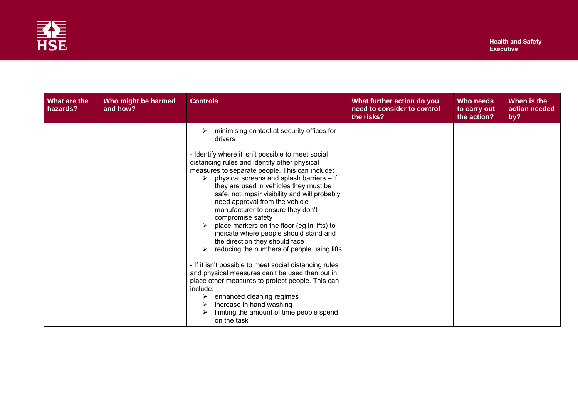

| What are the<br>hazards? | Who might be harmed<br>and how? | <b>Controls</b>                                                                                                                                                                                                                                                                                                                                                                                                                                                                                                                                                                                                                                                                                                                                                                                                                                                   | What further action do you<br>need to consider to control<br>the risks? | Who needs<br>to carry out<br>the action? | When is the<br>action needed<br>by? |
|--------------------------|---------------------------------|-------------------------------------------------------------------------------------------------------------------------------------------------------------------------------------------------------------------------------------------------------------------------------------------------------------------------------------------------------------------------------------------------------------------------------------------------------------------------------------------------------------------------------------------------------------------------------------------------------------------------------------------------------------------------------------------------------------------------------------------------------------------------------------------------------------------------------------------------------------------|-------------------------------------------------------------------------|------------------------------------------|-------------------------------------|
|                          |                                 | minimising contact at security offices for<br>drivers                                                                                                                                                                                                                                                                                                                                                                                                                                                                                                                                                                                                                                                                                                                                                                                                             |                                                                         |                                          |                                     |
|                          |                                 | - Identify where it isn't possible to meet social<br>distancing rules and identify other physical<br>measures to separate people. This can include:<br>physical screens and splash barriers - if<br>they are used in vehicles they must be<br>safe, not impair visibility and will probably<br>need approval from the vehicle<br>manufacturer to ensure they don't<br>compromise safety<br>place markers on the floor (eg in lifts) to<br>indicate where people should stand and<br>the direction they should face<br>reducing the numbers of people using lifts<br>- If it isn't possible to meet social distancing rules<br>and physical measures can't be used then put in<br>place other measures to protect people. This can<br>include:<br>enhanced cleaning regimes<br>increase in hand washing<br>limiting the amount of time people spend<br>on the task |                                                                         |                                          |                                     |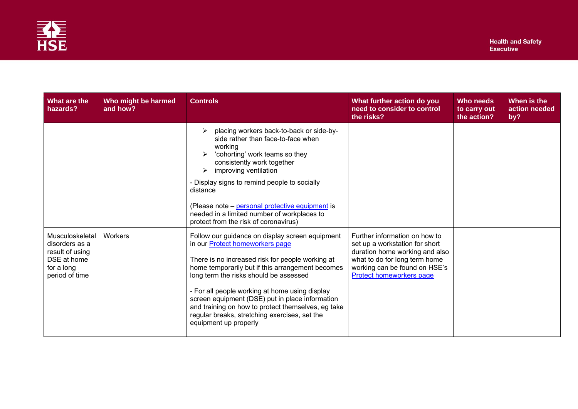

| What are the<br>hazards?                                                                            | Who might be harmed<br>and how? | <b>Controls</b>                                                                                                                                                                                                                                                                                                                                                                                                                                                                  | What further action do you<br>need to consider to control<br>the risks?                                                                                                                         | Who needs<br>to carry out<br>the action? | When is the<br>action needed<br>by? |
|-----------------------------------------------------------------------------------------------------|---------------------------------|----------------------------------------------------------------------------------------------------------------------------------------------------------------------------------------------------------------------------------------------------------------------------------------------------------------------------------------------------------------------------------------------------------------------------------------------------------------------------------|-------------------------------------------------------------------------------------------------------------------------------------------------------------------------------------------------|------------------------------------------|-------------------------------------|
|                                                                                                     |                                 | placing workers back-to-back or side-by-<br>side rather than face-to-face when<br>working<br>'cohorting' work teams so they<br>consistently work together<br>improving ventilation<br>➤<br>- Display signs to remind people to socially<br>distance<br>(Please note - personal protective equipment is<br>needed in a limited number of workplaces to<br>protect from the risk of coronavirus)                                                                                   |                                                                                                                                                                                                 |                                          |                                     |
| Musculoskeletal<br>disorders as a<br>result of using<br>DSE at home<br>for a long<br>period of time | Workers                         | Follow our guidance on display screen equipment<br>in our <b>Protect homeworkers</b> page<br>There is no increased risk for people working at<br>home temporarily but if this arrangement becomes<br>long term the risks should be assessed<br>- For all people working at home using display<br>screen equipment (DSE) put in place information<br>and training on how to protect themselves, eg take<br>regular breaks, stretching exercises, set the<br>equipment up properly | Further information on how to<br>set up a workstation for short<br>duration home working and also<br>what to do for long term home<br>working can be found on HSE's<br>Protect homeworkers page |                                          |                                     |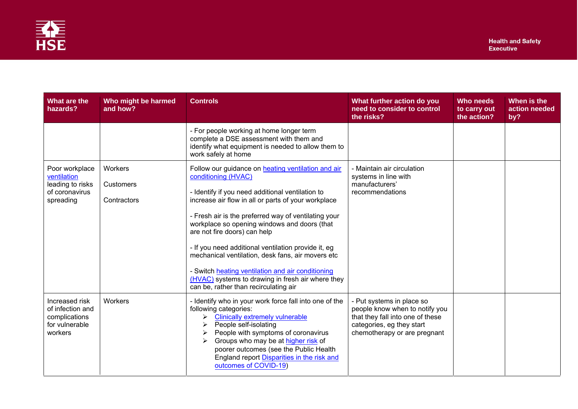

| What are the<br>hazards?                                                         | Who might be harmed<br>and how?     | <b>Controls</b>                                                                                                                                                                                                                                                                                                                                                                                                                                                                                                                                                                             | What further action do you<br>need to consider to control<br>the risks?                                                                                      | Who needs<br>to carry out<br>the action? | When is the<br>action needed<br>by? |
|----------------------------------------------------------------------------------|-------------------------------------|---------------------------------------------------------------------------------------------------------------------------------------------------------------------------------------------------------------------------------------------------------------------------------------------------------------------------------------------------------------------------------------------------------------------------------------------------------------------------------------------------------------------------------------------------------------------------------------------|--------------------------------------------------------------------------------------------------------------------------------------------------------------|------------------------------------------|-------------------------------------|
|                                                                                  |                                     | - For people working at home longer term<br>complete a DSE assessment with them and<br>identify what equipment is needed to allow them to<br>work safely at home                                                                                                                                                                                                                                                                                                                                                                                                                            |                                                                                                                                                              |                                          |                                     |
| Poor workplace<br>ventilation<br>leading to risks<br>of coronavirus<br>spreading | Workers<br>Customers<br>Contractors | Follow our guidance on heating ventilation and air<br>conditioning (HVAC)<br>- Identify if you need additional ventilation to<br>increase air flow in all or parts of your workplace<br>- Fresh air is the preferred way of ventilating your<br>workplace so opening windows and doors (that<br>are not fire doors) can help<br>- If you need additional ventilation provide it, eg<br>mechanical ventilation, desk fans, air movers etc<br>- Switch heating ventilation and air conditioning<br>(HVAC) systems to drawing in fresh air where they<br>can be, rather than recirculating air | - Maintain air circulation<br>systems in line with<br>manufacturers'<br>recommendations                                                                      |                                          |                                     |
| Increased risk<br>of infection and<br>complications<br>for vulnerable<br>workers | Workers                             | - Identify who in your work force fall into one of the<br>following categories:<br><b>Clinically extremely vulnerable</b><br>➤<br>People self-isolating<br>People with symptoms of coronavirus<br>Groups who may be at higher risk of<br>poorer outcomes (see the Public Health<br>England report Disparities in the risk and<br>outcomes of COVID-19)                                                                                                                                                                                                                                      | - Put systems in place so<br>people know when to notify you<br>that they fall into one of these<br>categories, eg they start<br>chemotherapy or are pregnant |                                          |                                     |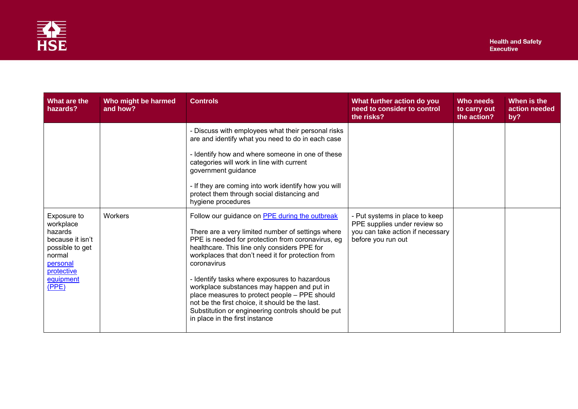

| What are the<br>hazards?                                                                                                             | Who might be harmed<br>and how? | <b>Controls</b>                                                                                                                                                                                                                                                                                                                                                                                                                                                                                                                                                         | What further action do you<br>need to consider to control<br>the risks?                                                  | Who needs<br>to carry out<br>the action? | When is the<br>action needed<br>by? |
|--------------------------------------------------------------------------------------------------------------------------------------|---------------------------------|-------------------------------------------------------------------------------------------------------------------------------------------------------------------------------------------------------------------------------------------------------------------------------------------------------------------------------------------------------------------------------------------------------------------------------------------------------------------------------------------------------------------------------------------------------------------------|--------------------------------------------------------------------------------------------------------------------------|------------------------------------------|-------------------------------------|
|                                                                                                                                      |                                 | - Discuss with employees what their personal risks<br>are and identify what you need to do in each case                                                                                                                                                                                                                                                                                                                                                                                                                                                                 |                                                                                                                          |                                          |                                     |
|                                                                                                                                      |                                 | - Identify how and where someone in one of these<br>categories will work in line with current<br>government guidance                                                                                                                                                                                                                                                                                                                                                                                                                                                    |                                                                                                                          |                                          |                                     |
|                                                                                                                                      |                                 | - If they are coming into work identify how you will<br>protect them through social distancing and<br>hygiene procedures                                                                                                                                                                                                                                                                                                                                                                                                                                                |                                                                                                                          |                                          |                                     |
| Exposure to<br>workplace<br>hazards<br>because it isn't<br>possible to get<br>normal<br>personal<br>protective<br>equipment<br>(PPE) | Workers                         | Follow our guidance on PPE during the outbreak<br>There are a very limited number of settings where<br>PPE is needed for protection from coronavirus, eg<br>healthcare. This line only considers PPE for<br>workplaces that don't need it for protection from<br>coronavirus<br>- Identify tasks where exposures to hazardous<br>workplace substances may happen and put in<br>place measures to protect people - PPE should<br>not be the first choice, it should be the last.<br>Substitution or engineering controls should be put<br>in place in the first instance | - Put systems in place to keep<br>PPE supplies under review so<br>you can take action if necessary<br>before you run out |                                          |                                     |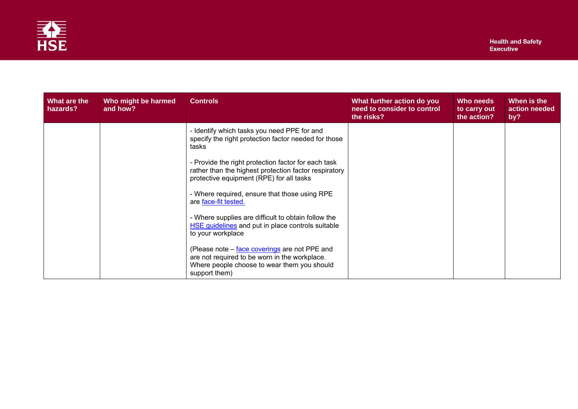

| What are the<br>hazards? | Who might be harmed<br>and how? | <b>Controls</b>                                                                                                                                                | What further action do you<br>need to consider to control<br>the risks? | Who needs<br>to carry out<br>the action? | When is the<br>action needed<br>by? |
|--------------------------|---------------------------------|----------------------------------------------------------------------------------------------------------------------------------------------------------------|-------------------------------------------------------------------------|------------------------------------------|-------------------------------------|
|                          |                                 | - Identify which tasks you need PPE for and<br>specify the right protection factor needed for those<br>tasks                                                   |                                                                         |                                          |                                     |
|                          |                                 | - Provide the right protection factor for each task<br>rather than the highest protection factor respiratory<br>protective equipment (RPE) for all tasks       |                                                                         |                                          |                                     |
|                          |                                 | - Where required, ensure that those using RPE<br>are face-fit tested.                                                                                          |                                                                         |                                          |                                     |
|                          |                                 | - Where supplies are difficult to obtain follow the<br>HSE guidelines and put in place controls suitable<br>to your workplace                                  |                                                                         |                                          |                                     |
|                          |                                 | (Please note – face coverings are not PPE and<br>are not required to be worn in the workplace.<br>Where people choose to wear them you should<br>support them) |                                                                         |                                          |                                     |